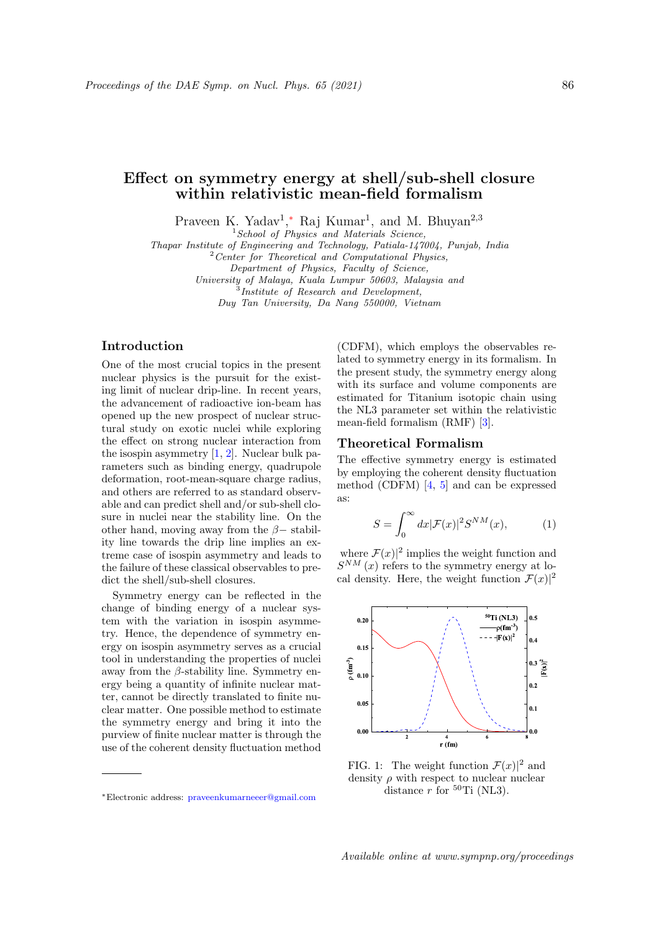# Effect on symmetry energy at shell/sub-shell closure within relativistic mean-field formalism

Praveen K. Yadav<sup>1</sup>,\* Raj Kumar<sup>1</sup>, and M. Bhuyan<sup>2,3</sup>

 $1$  School of Physics and Materials Science,

Thapar Institute of Engineering and Technology, Patiala-147004, Punjab, India

 $2$  Center for Theoretical and Computational Physics,

Department of Physics, Faculty of Science,

University of Malaya, Kuala Lumpur 50603, Malaysia and<br><sup>3</sup>Institute of Research and Development,

Duy Tan University, Da Nang 550000, Vietnam

# Introduction

One of the most crucial topics in the present nuclear physics is the pursuit for the existing limit of nuclear drip-line. In recent years, the advancement of radioactive ion-beam has opened up the new prospect of nuclear structural study on exotic nuclei while exploring the effect on strong nuclear interaction from the isospin asymmetry  $[1, 2]$ . Nuclear bulk parameters such as binding energy, quadrupole deformation, root-mean-square charge radius, and others are referred to as standard observable and can predict shell and/or sub-shell closure in nuclei near the stability line. On the other hand, moving away from the  $\beta$  - stability line towards the drip line implies an extreme case of isospin asymmetry and leads to the failure of these classical observables to predict the shell/sub-shell closures.

Symmetry energy can be reflected in the change of binding energy of a nuclear system with the variation in isospin asymmetry. Hence, the dependence of symmetry energy on isospin asymmetry serves as a crucial tool in understanding the properties of nuclei away from the  $\beta$ -stability line. Symmetry energy being a quantity of infinite nuclear matter, cannot be directly translated to finite nuclear matter. One possible method to estimate the symmetry energy and bring it into the purview of finite nuclear matter is through the use of the coherent density fluctuation method

(CDFM), which employs the observables related to symmetry energy in its formalism. In the present study, the symmetry energy along with its surface and volume components are estimated for Titanium isotopic chain using the NL3 parameter set within the relativistic mean-field formalism (RMF) [3].

# Theoretical Formalism

The effective symmetry energy is estimated by employing the coherent density fluctuation method (CDFM) [4, 5] and can be expressed as:

$$
S = \int_0^\infty dx |\mathcal{F}(x)|^2 S^{NM}(x),\tag{1}
$$

where  $\mathcal{F}(x)|^2$  implies the weight function and  $S^{NM}(x)$  refers to the symmetry energy at local density. Here, the weight function  $\mathcal{F}(x)|^2$ 



FIG. 1: The weight function  $\mathcal{F}(x)|^2$  and density  $\rho$  with respect to nuclear nuclear distance  $r$  for  $^{50}$ Ti (NL3).

<sup>∗</sup>Electronic address: praveenkumarneeer@gmail.com